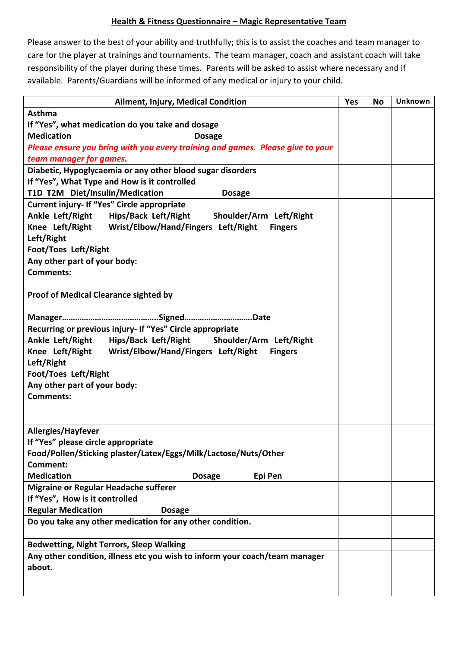## **Health & Fitness Questionnaire - Magic Representative Team**

Please answer to the best of your ability and truthfully; this is to assist the coaches and team manager to care for the player at trainings and tournaments. The team manager, coach and assistant coach will take responsibility of the player during these times. Parents will be asked to assist where necessary and if available. Parents/Guardians will be informed of any medical or injury to your child.

| Ailment, Injury, Medical Condition                                                                      | Yes | <b>No</b> | <b>Unknown</b> |  |  |  |
|---------------------------------------------------------------------------------------------------------|-----|-----------|----------------|--|--|--|
| <b>Asthma</b>                                                                                           |     |           |                |  |  |  |
| If "Yes", what medication do you take and dosage                                                        |     |           |                |  |  |  |
| <b>Medication</b><br><b>Dosage</b>                                                                      |     |           |                |  |  |  |
| Please ensure you bring with you every training and games. Please give to your                          |     |           |                |  |  |  |
| team manager for games.                                                                                 |     |           |                |  |  |  |
| Diabetic, Hypoglycaemia or any other blood sugar disorders                                              |     |           |                |  |  |  |
| If "Yes", What Type and How is it controlled                                                            |     |           |                |  |  |  |
| T1D T2M Diet/Insulin/Medication<br><b>Dosage</b>                                                        |     |           |                |  |  |  |
| Current injury- If "Yes" Circle appropriate                                                             |     |           |                |  |  |  |
| Ankle Left/Right Hips/Back Left/Right Shoulder/Arm Left/Right                                           |     |           |                |  |  |  |
| Knee Left/Right Wrist/Elbow/Hand/Fingers Left/Right<br><b>Fingers</b>                                   |     |           |                |  |  |  |
| Left/Right                                                                                              |     |           |                |  |  |  |
| <b>Foot/Toes Left/Right</b>                                                                             |     |           |                |  |  |  |
| Any other part of your body:                                                                            |     |           |                |  |  |  |
| <b>Comments:</b>                                                                                        |     |           |                |  |  |  |
|                                                                                                         |     |           |                |  |  |  |
| <b>Proof of Medical Clearance sighted by</b>                                                            |     |           |                |  |  |  |
|                                                                                                         |     |           |                |  |  |  |
|                                                                                                         |     |           |                |  |  |  |
| Recurring or previous injury- If "Yes" Circle appropriate                                               |     |           |                |  |  |  |
| Ankle Left/Right Hips/Back Left/Right Shoulder/Arm Left/Right                                           |     |           |                |  |  |  |
| Knee Left/Right Wrist/Elbow/Hand/Fingers Left/Right<br><b>Fingers</b>                                   |     |           |                |  |  |  |
| Left/Right                                                                                              |     |           |                |  |  |  |
| <b>Foot/Toes Left/Right</b>                                                                             |     |           |                |  |  |  |
| Any other part of your body:                                                                            |     |           |                |  |  |  |
| <b>Comments:</b>                                                                                        |     |           |                |  |  |  |
|                                                                                                         |     |           |                |  |  |  |
|                                                                                                         |     |           |                |  |  |  |
| <b>Allergies/Hayfever</b>                                                                               |     |           |                |  |  |  |
| If "Yes" please circle appropriate                                                                      |     |           |                |  |  |  |
| Food/Pollen/Sticking plaster/Latex/Eggs/Milk/Lactose/Nuts/Other<br>Comment:                             |     |           |                |  |  |  |
| <b>Medication</b><br>Epi Pen<br><b>Dosage</b>                                                           |     |           |                |  |  |  |
|                                                                                                         |     |           |                |  |  |  |
| <b>Migraine or Regular Headache sufferer</b>                                                            |     |           |                |  |  |  |
| If "Yes", How is it controlled                                                                          |     |           |                |  |  |  |
| <b>Regular Medication</b><br><b>Dosage</b><br>Do you take any other medication for any other condition. |     |           |                |  |  |  |
|                                                                                                         |     |           |                |  |  |  |
| <b>Bedwetting, Night Terrors, Sleep Walking</b>                                                         |     |           |                |  |  |  |
| Any other condition, illness etc you wish to inform your coach/team manager                             |     |           |                |  |  |  |
| about.                                                                                                  |     |           |                |  |  |  |
|                                                                                                         |     |           |                |  |  |  |
|                                                                                                         |     |           |                |  |  |  |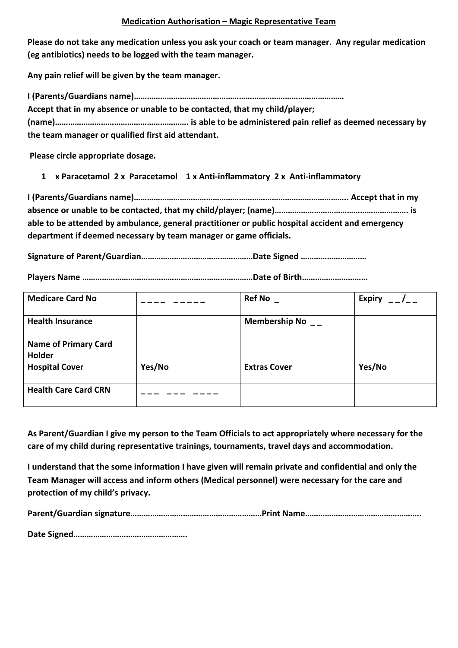## **Medication Authorisation – Magic Representative Team**

Please do not take any medication unless you ask your coach or team manager. Any regular medication **(eg** antibiotics) needs to be logged with the team manager.

Any pain relief will be given by the team manager.

**I (Parents/Guardians name)……………………………………………………………………………………** Accept that in my absence or unable to be contacted, that my child/player; **(name)……………………………………………………. is able to be administered pain relief as deemed necessary by**  the team manager or qualified first aid attendant.

Please circle appropriate dosage.

1 **x** Paracetamol 2 x Paracetamol 1 x Anti-inflammatory 2 x Anti-inflammatory

I (Parents/Guardians name)…………………………………………………………………………………………… Accept that in my absence or unable to be contacted, that my child/player; (name)……………………………………………………………… is able to be attended by ambulance, general practitioner or public hospital accident and emergency department if deemed necessary by team manager or game officials.

Signature of Parent/Guardian……………………………………………Date Signed ………………………………………………………………

Players Name ……………………………………………………………………………Date of Birth………………………………

| <b>Medicare Card No</b>     |        | <b>Ref No</b>        | <b>Expiry</b> |
|-----------------------------|--------|----------------------|---------------|
| <b>Health Insurance</b>     |        | Membership No $_{-}$ |               |
| <b>Name of Primary Card</b> |        |                      |               |
| Holder                      |        |                      |               |
| <b>Hospital Cover</b>       | Yes/No | <b>Extras Cover</b>  | Yes/No        |
| <b>Health Care Card CRN</b> |        |                      |               |

As Parent/Guardian I give my person to the Team Officials to act appropriately where necessary for the care of my child during representative trainings, tournaments, travel days and accommodation.

**I** understand that the some information I have given will remain private and confidential and only the Team Manager will access and inform others (Medical personnel) were necessary for the care and protection of my child's privacy.

Parent/Guardian signature……………………………………………………Print Name……………………………………………………………………

**Date Signed…………………………………………….**